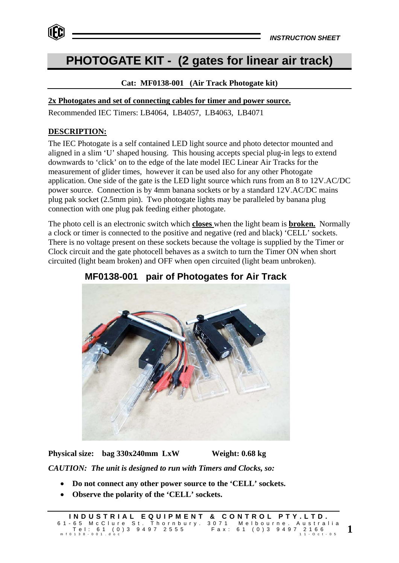

# **PHOTOGATE KIT - (2 gates for linear air track)**

## **Cat: MF0138-001 (Air Track Photogate kit)**

#### **2x Photogates and set of connecting cables for timer and power source.**

Recommended IEC Timers: LB4064, LB4057, LB4063, LB4071

#### **DESCRIPTION:**

The IEC Photogate is a self contained LED light source and photo detector mounted and aligned in a slim 'U' shaped housing. This housing accepts special plug-in legs to extend downwards to 'click' on to the edge of the late model IEC Linear Air Tracks for the measurement of glider times, however it can be used also for any other Photogate application. One side of the gate is the LED light source which runs from an 8 to 12V.AC/DC power source. Connection is by 4mm banana sockets or by a standard 12V.AC/DC mains plug pak socket (2.5mm pin). Two photogate lights may be paralleled by banana plug connection with one plug pak feeding either photogate.

The photo cell is an electronic switch which **closes** when the light beam is **broken.** Normally a clock or timer is connected to the positive and negative (red and black) 'CELL' sockets. There is no voltage present on these sockets because the voltage is supplied by the Timer or Clock circuit and the gate photocell behaves as a switch to turn the Timer ON when short circuited (light beam broken) and OFF when open circuited (light beam unbroken).



 **MF0138-001 pair of Photogates for Air Track**

**Physical size: bag 330x240mm LxW Weight: 0.68 kg**

*CAUTION: The unit is designed to run with Timers and Clocks, so:*

- **Do not connect any other power source to the 'CELL' sockets.**
- **Observe the polarity of the 'CELL' sockets.**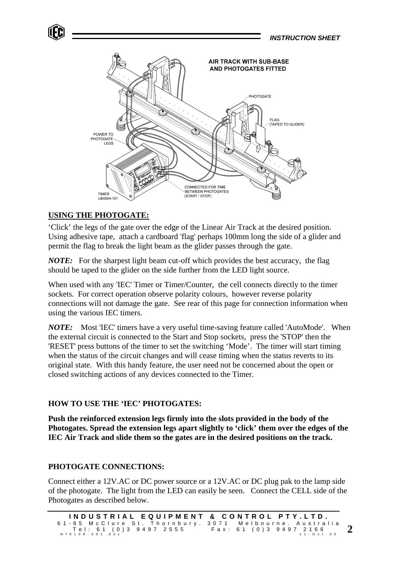

# **USING THE PHOTOGATE:**

'Click' the legs of the gate over the edge of the Linear Air Track at the desired position. Using adhesive tape, attach a cardboard 'flag' perhaps 100mm long the side of a glider and permit the flag to break the light beam as the glider passes through the gate.

*NOTE:* For the sharpest light beam cut-off which provides the best accuracy, the flag should be taped to the glider on the side further from the LED light source.

When used with any 'IEC' Timer or Timer/Counter, the cell connects directly to the timer sockets. For correct operation observe polarity colours, however reverse polarity connections will not damage the gate. See rear of this page for connection information when using the various IEC timers.

*NOTE:* Most 'IEC' timers have a very useful time-saving feature called 'AutoMode'. When the external circuit is connected to the Start and Stop sockets, press the 'STOP' then the 'RESET' press buttons of the timer to set the switching 'Mode'. The timer will start timing when the status of the circuit changes and will cease timing when the status reverts to its original state. With this handy feature, the user need not be concerned about the open or closed switching actions of any devices connected to the Timer.

# **HOW TO USE THE 'IEC' PHOTOGATES:**

**Push the reinforced extension legs firmly into the slots provided in the body of the Photogates. Spread the extension legs apart slightly to 'click' them over the edges of the IEC Air Track and slide them so the gates are in the desired positions on the track.**

## **PHOTOGATE CONNECTIONS:**

Connect either a 12V.AC or DC power source or a 12V.AC or DC plug pak to the lamp side of the photogate. The light from the LED can easily be seen. Connect the CELL side of the Photogates as described below.